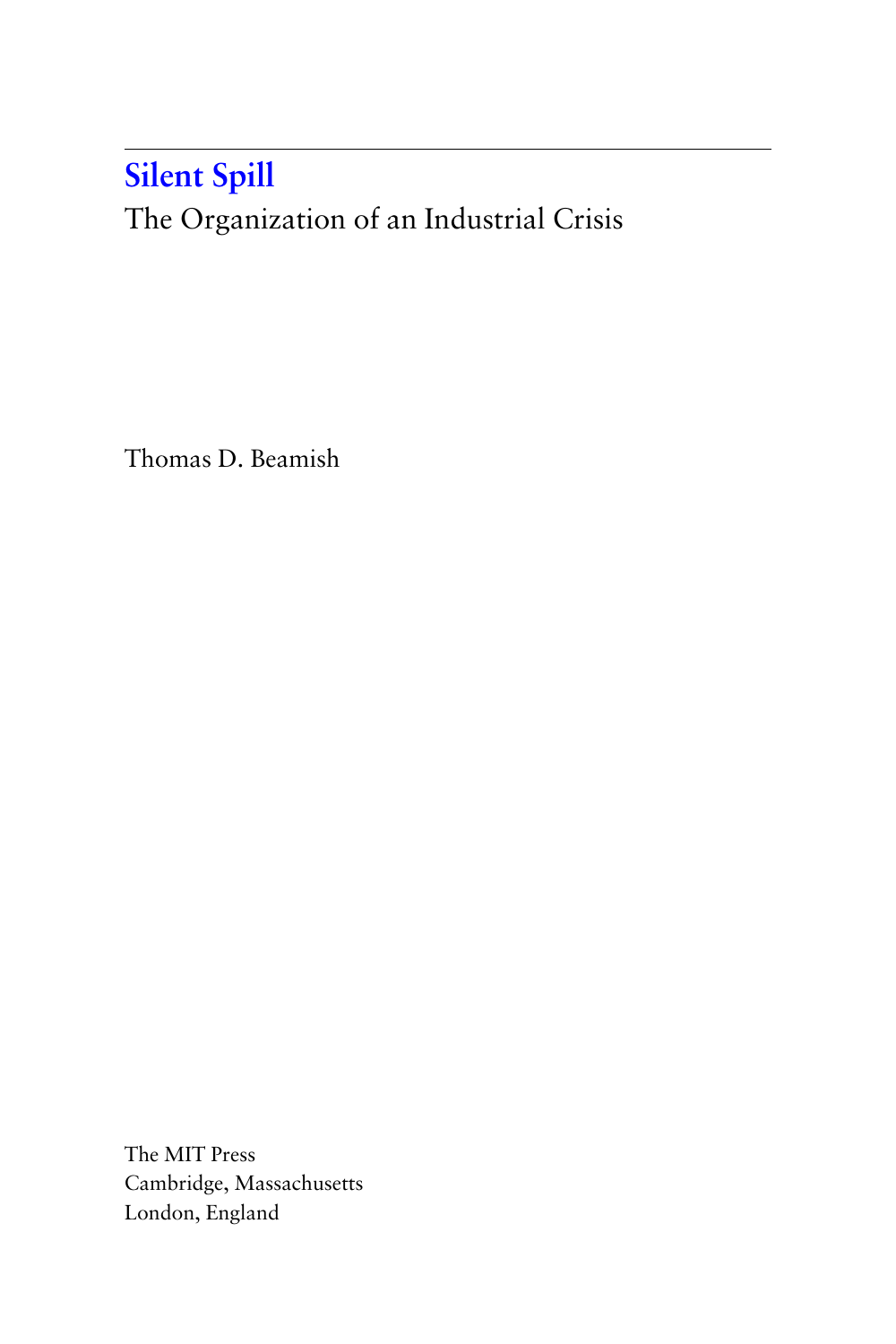## **Silent Spill**

[The Organization of an Industrial Crisis](http://mitpress.mit.edu/0262523205)

Thomas D. Beamish

The MIT Press Cambridge, Massachusetts London, England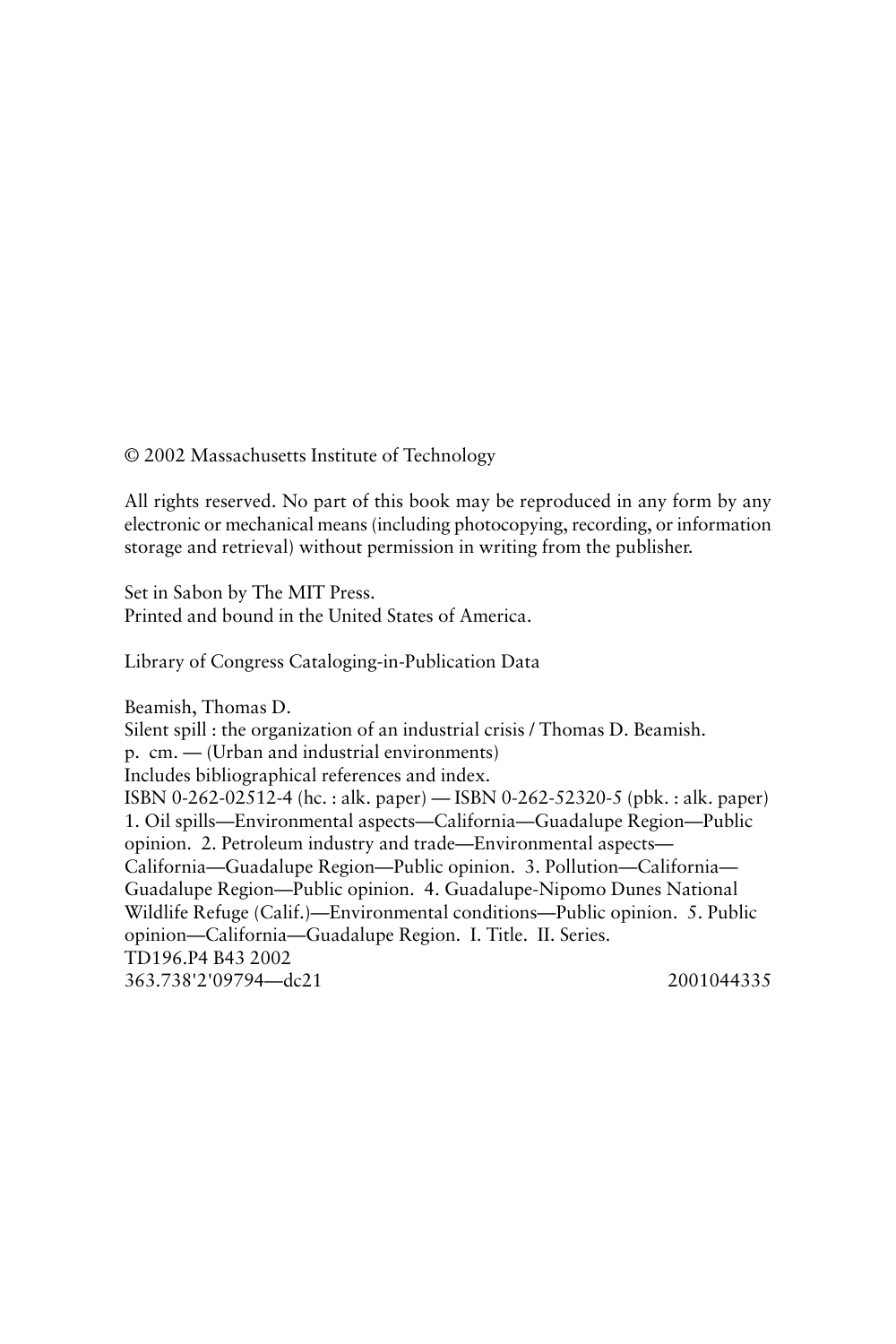© 2002 Massachusetts Institute of Technology

All rights reserved. No part of this book may be reproduced in any form by any electronic or mechanical means (including photocopying, recording, or information storage and retrieval) without permission in writing from the publisher.

Set in Sabon by The MIT Press. Printed and bound in the United States of America.

Library of Congress Cataloging-in-Publication Data

Beamish, Thomas D. Silent spill : the organization of an industrial crisis / Thomas D. Beamish. p. cm. — (Urban and industrial environments) Includes bibliographical references and index. ISBN 0-262-02512-4 (hc. : alk. paper) — ISBN 0-262-52320-5 (pbk. : alk. paper) 1. Oil spills—Environmental aspects—California—Guadalupe Region—Public opinion. 2. Petroleum industry and trade—Environmental aspects— California—Guadalupe Region—Public opinion. 3. Pollution—California— Guadalupe Region—Public opinion. 4. Guadalupe-Nipomo Dunes National Wildlife Refuge (Calif.)—Environmental conditions—Public opinion. 5. Public opinion—California—Guadalupe Region. I. Title. II. Series. TD196.P4 B43 2002 363.738'2'09794—dc21 2001044335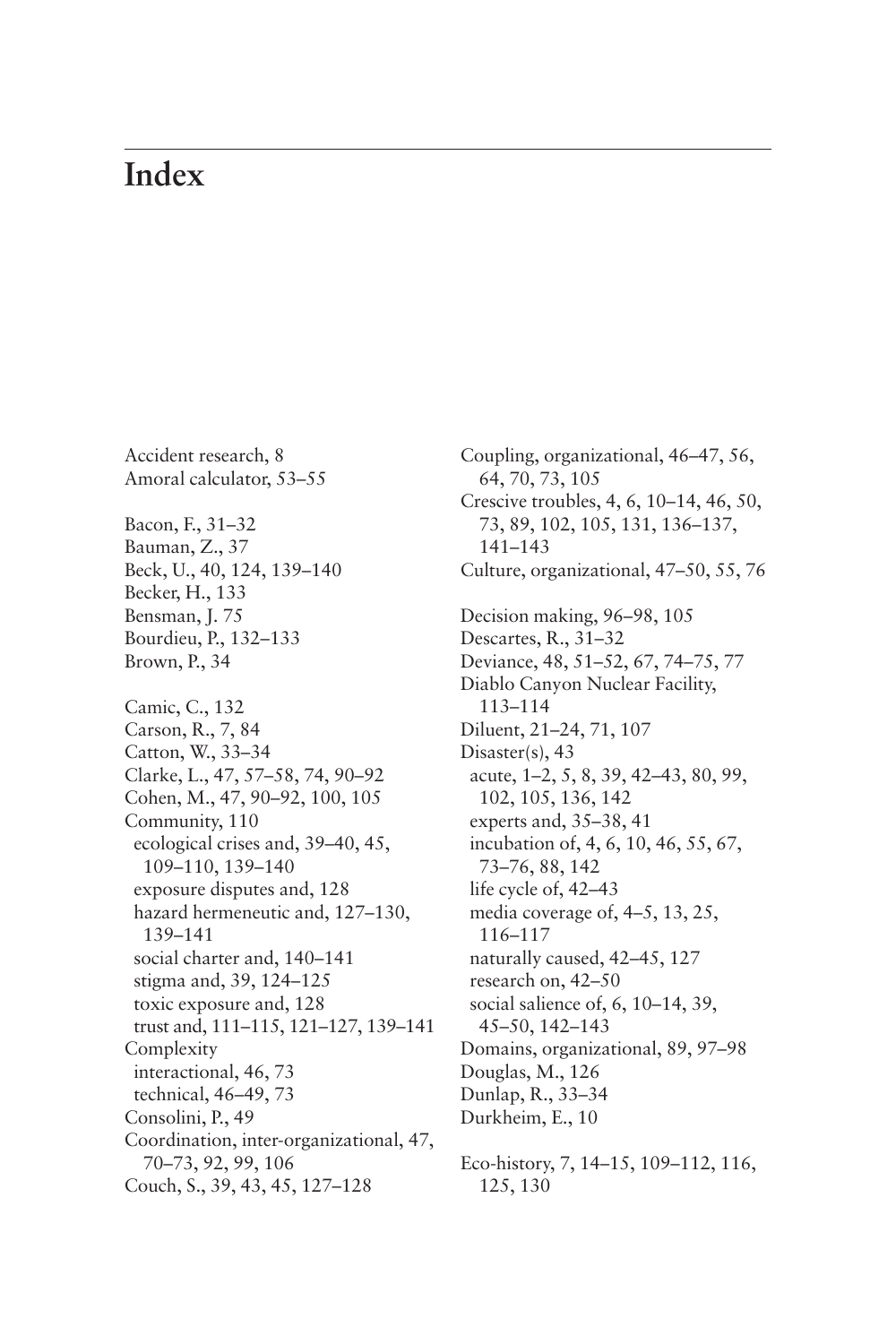## **Index**

Accident research, 8 Amoral calculator, 53–55 Bacon, F., 31–32 Bauman, Z., 37 Beck, U., 40, 124, 139–140 Becker, H., 133 Bensman, J. 75 Bourdieu, P., 132–133 Brown, P., 34 Camic, C., 132 Carson, R., 7, 84 Catton, W., 33–34 Clarke, L., 47, 57–58, 74, 90–92 Cohen, M., 47, 90–92, 100, 105 Community, 110 ecological crises and, 39–40, 45, 109–110, 139–140 exposure disputes and, 128 hazard hermeneutic and, 127–130, 139–141 social charter and, 140–141 stigma and, 39, 124–125 toxic exposure and, 128 trust and, 111–115, 121–127, 139–141 Complexity interactional, 46, 73 technical, 46–49, 73 Consolini, P., 49 Coordination, inter-organizational, 47, 70–73, 92, 99, 106 Couch, S., 39, 43, 45, 127–128

Coupling, organizational, 46–47, 56, 64, 70, 73, 105 Crescive troubles, 4, 6, 10–14, 46, 50, 73, 89, 102, 105, 131, 136–137, 141–143 Culture, organizational, 47–50, 55, 76 Decision making, 96–98, 105 Descartes, R., 31–32 Deviance, 48, 51–52, 67, 74–75, 77 Diablo Canyon Nuclear Facility, 113–114 Diluent, 21–24, 71, 107 Disaster(s), 43 acute, 1–2, 5, 8, 39, 42–43, 80, 99, 102, 105, 136, 142 experts and, 35–38, 41 incubation of, 4, 6, 10, 46, 55, 67, 73–76, 88, 142 life cycle of, 42–43 media coverage of, 4–5, 13, 25, 116–117 naturally caused, 42–45, 127 research on, 42–50 social salience of, 6, 10–14, 39, 45–50, 142–143 Domains, organizational, 89, 97–98 Douglas, M., 126 Dunlap, R., 33–34 Durkheim, E., 10 Eco-history, 7, 14–15, 109–112, 116,

125, 130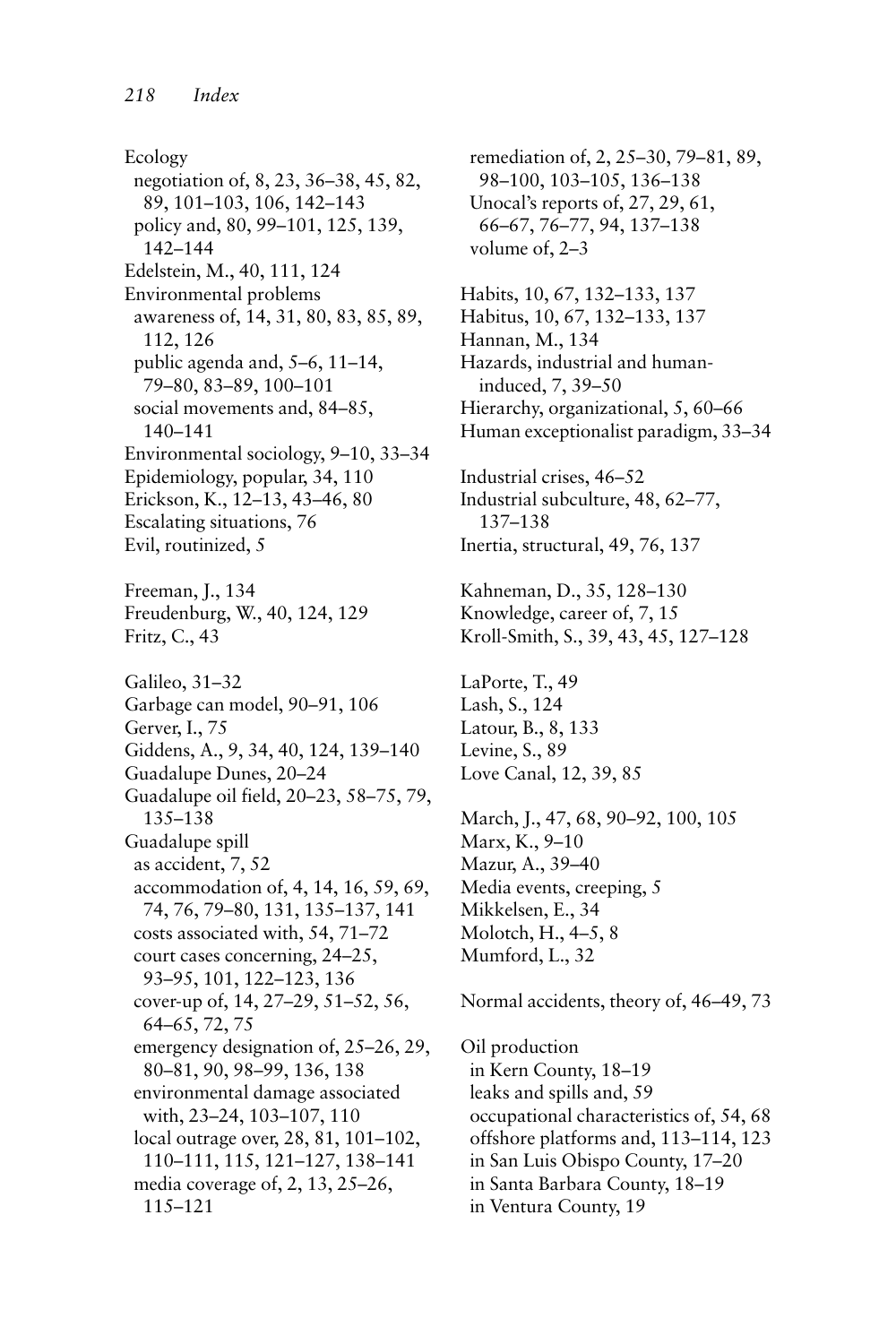Ecology negotiation of, 8, 23, 36–38, 45, 82, 89, 101–103, 106, 142–143 policy and, 80, 99–101, 125, 139, 142–144 Edelstein, M., 40, 111, 124 Environmental problems awareness of, 14, 31, 80, 83, 85, 89, 112, 126 public agenda and, 5–6, 11–14, 79–80, 83–89, 100–101 social movements and, 84–85, 140–141 Environmental sociology, 9–10, 33–34 Epidemiology, popular, 34, 110 Erickson, K., 12–13, 43–46, 80 Escalating situations, 76 Evil, routinized, 5 Freeman, J., 134 Freudenburg, W., 40, 124, 129 Fritz, C., 43 Galileo, 31–32 Garbage can model, 90–91, 106 Gerver, I., 75 Giddens, A., 9, 34, 40, 124, 139–140 Guadalupe Dunes, 20–24 Guadalupe oil field, 20–23, 58–75, 79, 135–138 Guadalupe spill as accident, 7, 52 accommodation of, 4, 14, 16, 59, 69, 74, 76, 79–80, 131, 135–137, 141 costs associated with, 54, 71–72 court cases concerning, 24–25, 93–95, 101, 122–123, 136 cover-up of, 14, 27–29, 51–52, 56, 64–65, 72, 75 emergency designation of, 25–26, 29, 80–81, 90, 98–99, 136, 138 environmental damage associated with, 23–24, 103–107, 110 local outrage over, 28, 81, 101–102, 110–111, 115, 121–127, 138–141 media coverage of, 2, 13, 25–26, 115–121

remediation of, 2, 25–30, 79–81, 89, 98–100, 103–105, 136–138 Unocal's reports of, 27, 29, 61, 66–67, 76–77, 94, 137–138 volume of, 2–3 Habits, 10, 67, 132–133, 137 Habitus, 10, 67, 132–133, 137 Hannan, M., 134 Hazards, industrial and humaninduced, 7, 39–50 Hierarchy, organizational, 5, 60–66 Human exceptionalist paradigm, 33–34 Industrial crises, 46–52 Industrial subculture, 48, 62–77, 137–138 Inertia, structural, 49, 76, 137 Kahneman, D., 35, 128–130 Knowledge, career of, 7, 15 Kroll-Smith, S., 39, 43, 45, 127–128 LaPorte, T., 49 Lash, S., 124 Latour, B., 8, 133 Levine, S., 89 Love Canal, 12, 39, 85 March, J., 47, 68, 90–92, 100, 105 Marx, K., 9–10 Mazur, A., 39–40 Media events, creeping, 5 Mikkelsen, E., 34 Molotch, H., 4–5, 8 Mumford, L., 32 Normal accidents, theory of, 46–49, 73 Oil production in Kern County, 18–19 leaks and spills and, 59

occupational characteristics of, 54, 68 offshore platforms and, 113–114, 123

in San Luis Obispo County, 17–20

in Santa Barbara County, 18–19

in Ventura County, 19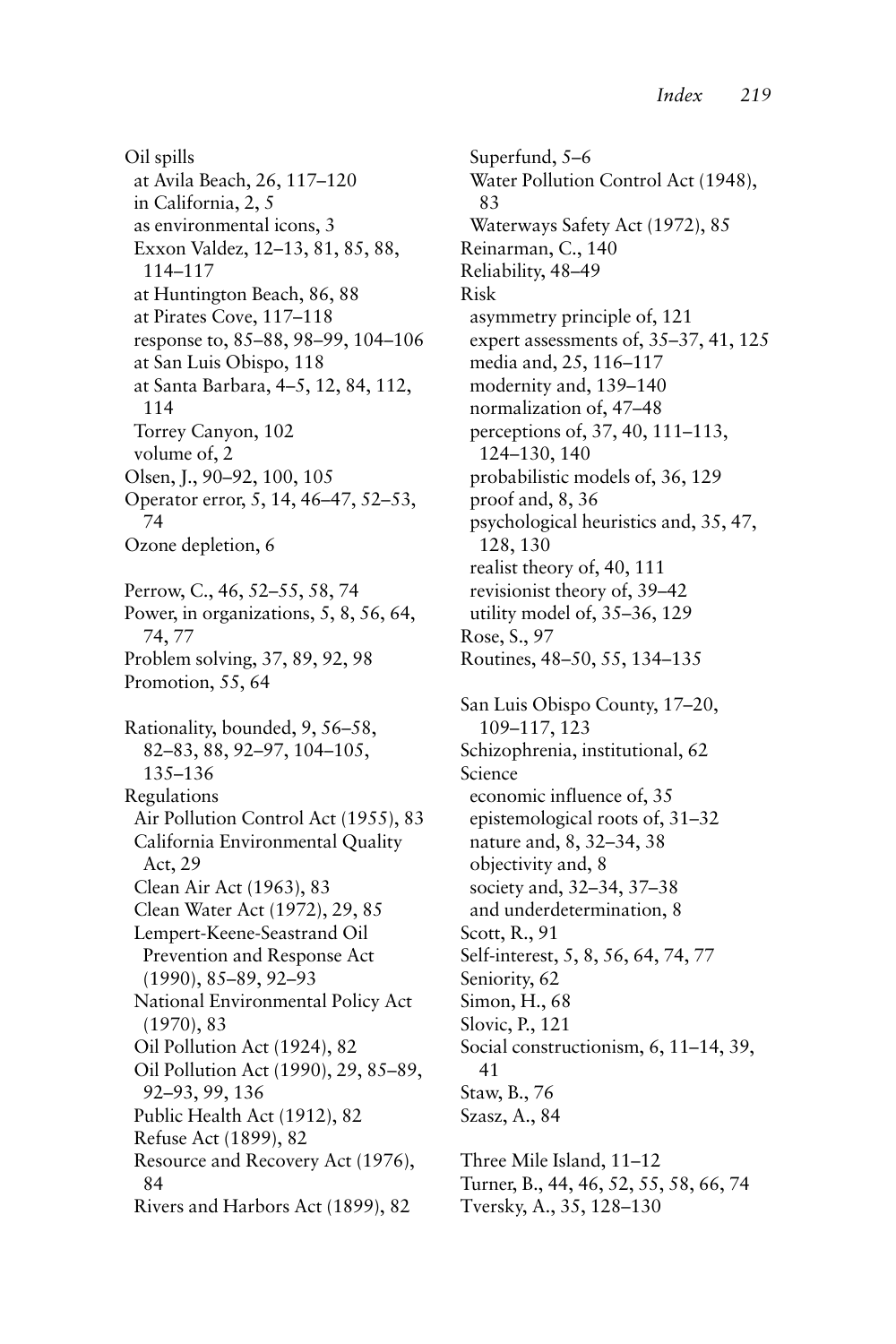Oil spills at Avila Beach, 26, 117–120 in California, 2, 5 as environmental icons, 3 Exxon Valdez, 12–13, 81, 85, 88, 114–117 at Huntington Beach, 86, 88 at Pirates Cove, 117–118 response to, 85–88, 98–99, 104–106 at San Luis Obispo, 118 at Santa Barbara, 4–5, 12, 84, 112, 114 Torrey Canyon, 102 volume of, 2 Olsen, J., 90–92, 100, 105 Operator error, 5, 14, 46–47, 52–53, 74 Ozone depletion, 6 Perrow, C., 46, 52–55, 58, 74 Power, in organizations, 5, 8, 56, 64, 74, 77 Problem solving, 37, 89, 92, 98 Promotion, 55, 64 Rationality, bounded, 9, 56–58, 82–83, 88, 92–97, 104–105, 135–136 Regulations Air Pollution Control Act (1955), 83 California Environmental Quality Act, 29 Clean Air Act (1963), 83 Clean Water Act (1972), 29, 85 Lempert-Keene-Seastrand Oil Prevention and Response Act (1990), 85–89, 92–93 National Environmental Policy Act (1970), 83 Oil Pollution Act (1924), 82 Oil Pollution Act (1990), 29, 85–89, 92–93, 99, 136 Public Health Act (1912), 82 Refuse Act (1899), 82 Resource and Recovery Act (1976), 84 Rivers and Harbors Act (1899), 82

Superfund, 5–6 Water Pollution Control Act (1948), 83 Waterways Safety Act (1972), 85 Reinarman, C., 140 Reliability, 48–49 Risk asymmetry principle of, 121 expert assessments of, 35–37, 41, 125 media and, 25, 116–117 modernity and, 139–140 normalization of, 47–48 perceptions of, 37, 40, 111–113, 124–130, 140 probabilistic models of, 36, 129 proof and, 8, 36 psychological heuristics and, 35, 47, 128, 130 realist theory of, 40, 111 revisionist theory of, 39–42 utility model of, 35–36, 129 Rose, S., 97 Routines, 48–50, 55, 134–135 San Luis Obispo County, 17–20, 109–117, 123 Schizophrenia, institutional, 62 Science economic influence of, 35 epistemological roots of, 31–32 nature and, 8, 32–34, 38 objectivity and, 8 society and, 32–34, 37–38 and underdetermination, 8 Scott, R., 91 Self-interest, 5, 8, 56, 64, 74, 77 Seniority, 62 Simon, H., 68 Slovic, P., 121 Social constructionism, 6, 11–14, 39, 41 Staw, B., 76 Szasz, A., 84 Three Mile Island, 11–12 Turner, B., 44, 46, 52, 55, 58, 66, 74 Tversky, A., 35, 128–130